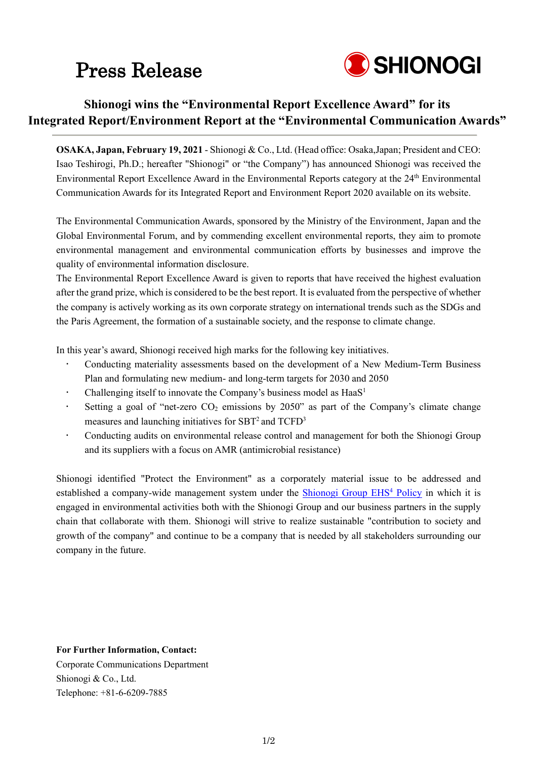## Press Release



### **Shionogi wins the "Environmental Report Excellence Award" for its Integrated Report/Environment Report at the "Environmental Communication Awards"**

**OSAKA, Japan, February 19, 2021** - Shionogi & Co., Ltd. (Head office: Osaka,Japan; President and CEO: Isao Teshirogi, Ph.D.; hereafter "Shionogi" or "the Company") has announced Shionogi was received the Environmental Report Excellence Award in the Environmental Reports category at the 24<sup>th</sup> Environmental Communication Awards for its Integrated Report and Environment Report 2020 available on its website.

The Environmental Communication Awards, sponsored by the Ministry of the Environment, Japan and the Global Environmental Forum, and by commending excellent environmental reports, they aim to promote environmental management and environmental communication efforts by businesses and improve the quality of environmental information disclosure.

The Environmental Report Excellence Award is given to reports that have received the highest evaluation after the grand prize, which is considered to be the best report. It is evaluated from the perspective of whether the company is actively working as its own corporate strategy on international trends such as the SDGs and the Paris Agreement, the formation of a sustainable society, and the response to climate change.

In this year's award, Shionogi received high marks for the following key initiatives.

- Conducting materiality assessments based on the development of a New Medium-Term Business Plan and formulating new medium- and long-term targets for 2030 and 2050
- Challenging itself to innovate the Company's business model as  $HaaS<sup>1</sup>$
- Setting a goal of "net-zero  $CO_2$  emissions by 2050" as part of the Company's climate change measures and launching initiatives for  $SBT<sup>2</sup>$  and  $TCFD<sup>3</sup>$
- Conducting audits on environmental release control and management for both the Shionogi Group and its suppliers with a focus on AMR (antimicrobial resistance)

Shionogi identified "Protect the Environment" as a corporately material issue to be addressed and established a company-wide management system under the Shionogi Group EHS<sup>4</sup> Policy in which it is engaged in environmental activities both with the Shionogi Group and our business partners in the supply chain that collaborate with them. Shionogi will strive to realize sustainable "contribution to society and growth of the company" and continue to be a company that is needed by all stakeholders surrounding our company in the future.

#### **For Further Information, Contact:**

Corporate Communications Department Shionogi & Co., Ltd. Telephone: +81-6-6209-7885